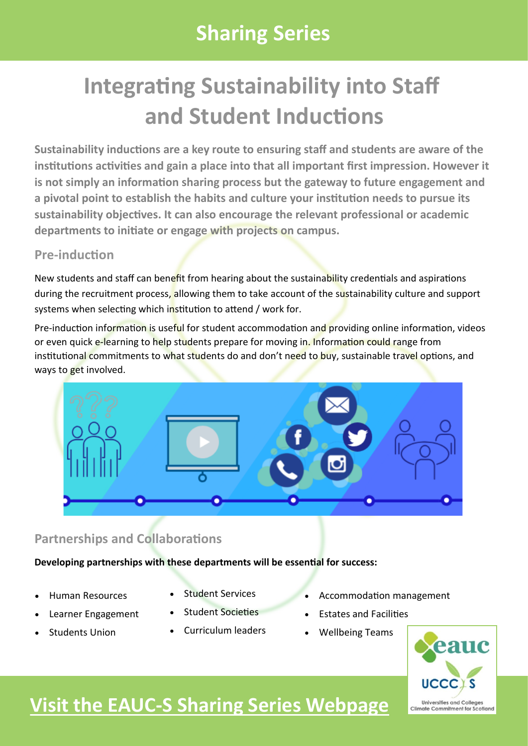## **Sharing Series**

# **Integrating Sustainability into Staff and Student Inductions**

**Sustainability inductions are a key route to ensuring staff and students are aware of the institutions activities and gain a place into that all important first impression. However it is not simply an information sharing process but the gateway to future engagement and a pivotal point to establish the habits and culture your institution needs to pursue its sustainability objectives. It can also encourage the relevant professional or academic departments to initiate or engage with projects on campus.**

### **Pre-induction**

New students and staff can benefit from hearing about the sustainability credentials and aspirations during the recruitment process, allowing them to take account of the sustainability culture and support systems when selecting which institution to attend / work for.

Pre-induction information is useful for student accommodation and providing online information, videos or even quick e-learning to help students prepare for moving in. Information could range from institutional commitments to what students do and don't need to buy, sustainable travel options, and ways to get involved.



### **Partnerships and Collaborations**

**Developing partnerships with these departments will be essential for success:**

- Human Resources
- Learner Engagement
- Students Union
- Student Services
- Student Societies
- Curriculum leaders
- Accommodation management
- Estates and Facilities
- Wellbeing Teams



## **Visit the EAUC-[S Sharing Series Webpage](http://www.eauc.org.uk/promoting_sustainable_behaviours_sharing_series)**